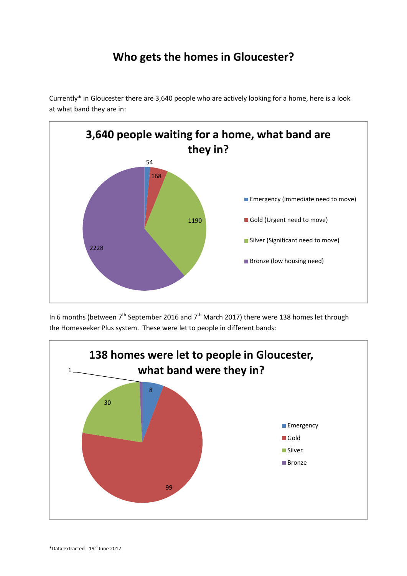## **Who gets the homes in Gloucester?**

Currently\* in Gloucester there are 3,640 people who are actively looking for a home, here is a look at what band they are in:



In 6 months (between 7<sup>th</sup> September 2016 and 7<sup>th</sup> March 2017) there were 138 homes let through the Homeseeker Plus system. These were let to people in different bands: